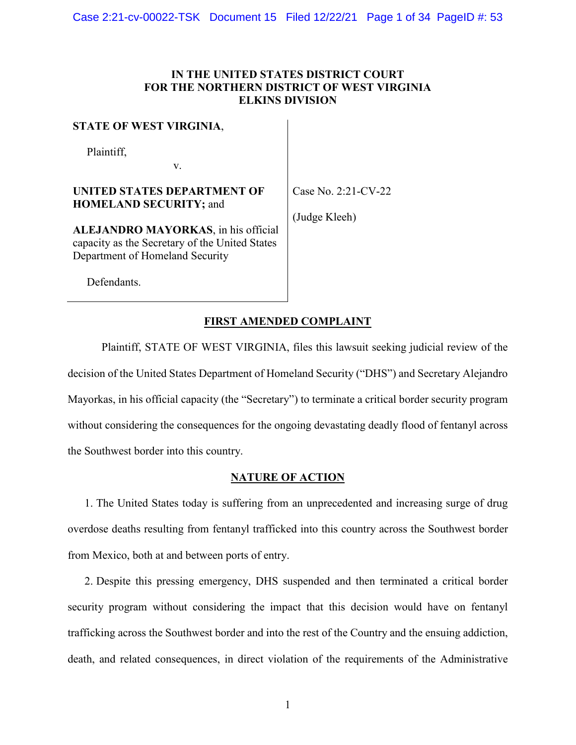# **IN THE UNITED STATES DISTRICT COURT FOR THE NORTHERN DISTRICT OF WEST VIRGINIA ELKINS DIVISION**

## **STATE OF WEST VIRGINIA**,

Plaintiff,

**UNITED STATES DEPARTMENT OF HOMELAND SECURITY;** and

v.

Case No. 2:21-CV-22

(Judge Kleeh)

**ALEJANDRO MAYORKAS**, in his official capacity as the Secretary of the United States Department of Homeland Security

Defendants.

# **FIRST AMENDED COMPLAINT**

Plaintiff, STATE OF WEST VIRGINIA, files this lawsuit seeking judicial review of the decision of the United States Department of Homeland Security ("DHS") and Secretary Alejandro Mayorkas, in his official capacity (the "Secretary") to terminate a critical border security program without considering the consequences for the ongoing devastating deadly flood of fentanyl across the Southwest border into this country.

## **NATURE OF ACTION**

1. The United States today is suffering from an unprecedented and increasing surge of drug overdose deaths resulting from fentanyl trafficked into this country across the Southwest border from Mexico, both at and between ports of entry.

2. Despite this pressing emergency, DHS suspended and then terminated a critical border security program without considering the impact that this decision would have on fentanyl trafficking across the Southwest border and into the rest of the Country and the ensuing addiction, death, and related consequences, in direct violation of the requirements of the Administrative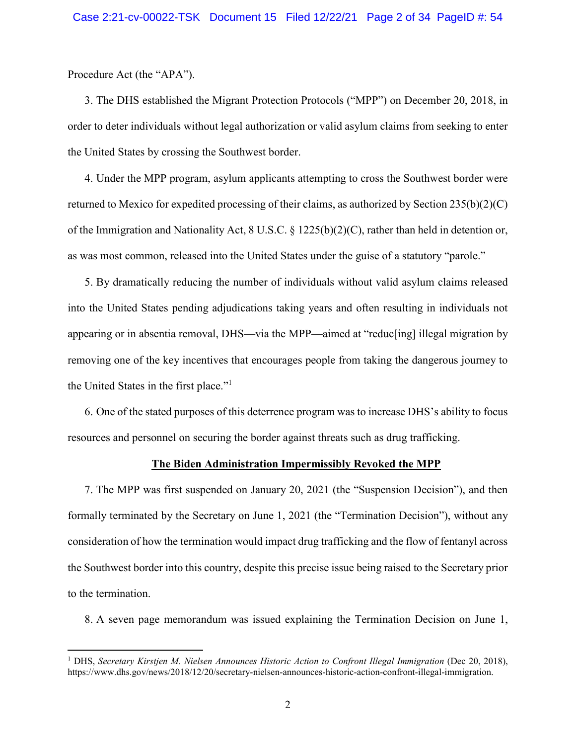Procedure Act (the "APA").

3. The DHS established the Migrant Protection Protocols ("MPP") on December 20, 2018, in order to deter individuals without legal authorization or valid asylum claims from seeking to enter the United States by crossing the Southwest border.

4. Under the MPP program, asylum applicants attempting to cross the Southwest border were returned to Mexico for expedited processing of their claims, as authorized by Section 235(b)(2)(C) of the Immigration and Nationality Act, 8 U.S.C. § 1225(b)(2)(C), rather than held in detention or, as was most common, released into the United States under the guise of a statutory "parole."

5. By dramatically reducing the number of individuals without valid asylum claims released into the United States pending adjudications taking years and often resulting in individuals not appearing or in absentia removal, DHS—via the MPP—aimed at "reduc[ing] illegal migration by removing one of the key incentives that encourages people from taking the dangerous journey to the United States in the first place."<sup>1</sup>

6. One of the stated purposes of this deterrence program was to increase DHS's ability to focus resources and personnel on securing the border against threats such as drug trafficking.

### **The Biden Administration Impermissibly Revoked the MPP**

7. The MPP was first suspended on January 20, 2021 (the "Suspension Decision"), and then formally terminated by the Secretary on June 1, 2021 (the "Termination Decision"), without any consideration of how the termination would impact drug trafficking and the flow of fentanyl across the Southwest border into this country, despite this precise issue being raised to the Secretary prior to the termination.

8. A seven page memorandum was issued explaining the Termination Decision on June 1,

<sup>&</sup>lt;sup>1</sup> DHS, *Secretary Kirstjen M. Nielsen Announces Historic Action to Confront Illegal Immigration* (Dec 20, 2018), https://www.dhs.gov/news/2018/12/20/secretary-nielsen-announces-historic-action-confront-illegal-immigration.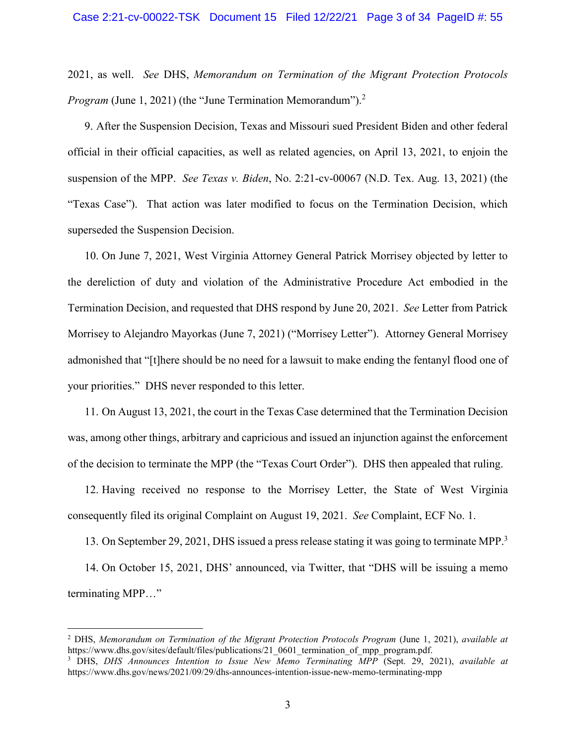2021, as well. *See* DHS, *Memorandum on Termination of the Migrant Protection Protocols Program* (June 1, 2021) (the "June Termination Memorandum").<sup>2</sup>

9. After the Suspension Decision, Texas and Missouri sued President Biden and other federal official in their official capacities, as well as related agencies, on April 13, 2021, to enjoin the suspension of the MPP. *See Texas v. Biden*, No. 2:21-cv-00067 (N.D. Tex. Aug. 13, 2021) (the "Texas Case"). That action was later modified to focus on the Termination Decision, which superseded the Suspension Decision.

10. On June 7, 2021, West Virginia Attorney General Patrick Morrisey objected by letter to the dereliction of duty and violation of the Administrative Procedure Act embodied in the Termination Decision, and requested that DHS respond by June 20, 2021. *See* Letter from Patrick Morrisey to Alejandro Mayorkas (June 7, 2021) ("Morrisey Letter"). Attorney General Morrisey admonished that "[t]here should be no need for a lawsuit to make ending the fentanyl flood one of your priorities." DHS never responded to this letter.

11. On August 13, 2021, the court in the Texas Case determined that the Termination Decision was, among other things, arbitrary and capricious and issued an injunction against the enforcement of the decision to terminate the MPP (the "Texas Court Order"). DHS then appealed that ruling.

12. Having received no response to the Morrisey Letter, the State of West Virginia consequently filed its original Complaint on August 19, 2021. *See* Complaint, ECF No. 1.

13. On September 29, 2021, DHS issued a press release stating it was going to terminate MPP.<sup>3</sup>

14. On October 15, 2021, DHS' announced, via Twitter, that "DHS will be issuing a memo terminating MPP…"

<sup>2</sup> DHS, *Memorandum on Termination of the Migrant Protection Protocols Program* (June 1, 2021), *available at* https://www.dhs.gov/sites/default/files/publications/21\_0601\_termination\_of\_mpp\_program.pdf.

<sup>3</sup> DHS, *DHS Announces Intention to Issue New Memo Terminating MPP* (Sept. 29, 2021), *available at* https://www.dhs.gov/news/2021/09/29/dhs-announces-intention-issue-new-memo-terminating-mpp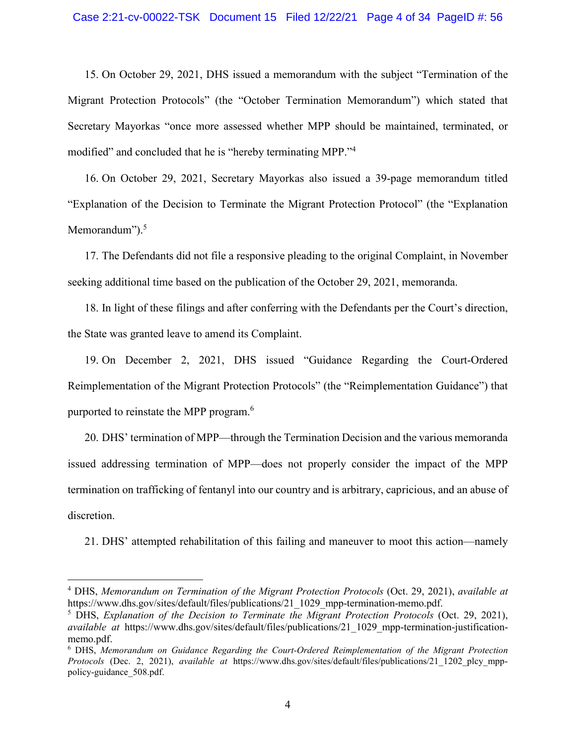### Case 2:21-cv-00022-TSK Document 15 Filed 12/22/21 Page 4 of 34 PageID #: 56

15. On October 29, 2021, DHS issued a memorandum with the subject "Termination of the Migrant Protection Protocols" (the "October Termination Memorandum") which stated that Secretary Mayorkas "once more assessed whether MPP should be maintained, terminated, or modified" and concluded that he is "hereby terminating MPP."<sup>4</sup>

16. On October 29, 2021, Secretary Mayorkas also issued a 39-page memorandum titled "Explanation of the Decision to Terminate the Migrant Protection Protocol" (the "Explanation Memorandum").<sup>5</sup>

17. The Defendants did not file a responsive pleading to the original Complaint, in November seeking additional time based on the publication of the October 29, 2021, memoranda.

18. In light of these filings and after conferring with the Defendants per the Court's direction, the State was granted leave to amend its Complaint.

19. On December 2, 2021, DHS issued "Guidance Regarding the Court-Ordered Reimplementation of the Migrant Protection Protocols" (the "Reimplementation Guidance") that purported to reinstate the MPP program.<sup>6</sup>

20. DHS' termination of MPP—through the Termination Decision and the various memoranda issued addressing termination of MPP—does not properly consider the impact of the MPP termination on trafficking of fentanyl into our country and is arbitrary, capricious, and an abuse of discretion.

21. DHS' attempted rehabilitation of this failing and maneuver to moot this action—namely

<sup>4</sup> DHS, *Memorandum on Termination of the Migrant Protection Protocols* (Oct. 29, 2021), *available at* https://www.dhs.gov/sites/default/files/publications/21\_1029\_mpp-termination-memo.pdf.

<sup>5</sup> DHS, *Explanation of the Decision to Terminate the Migrant Protection Protocols* (Oct. 29, 2021), *available at* https://www.dhs.gov/sites/default/files/publications/21\_1029\_mpp-termination-justificationmemo.pdf.

<sup>6</sup> DHS, *Memorandum on Guidance Regarding the Court-Ordered Reimplementation of the Migrant Protection Protocols* (Dec. 2, 2021), *available at* https://www.dhs.gov/sites/default/files/publications/21\_1202\_plcy\_mpppolicy-guidance\_508.pdf.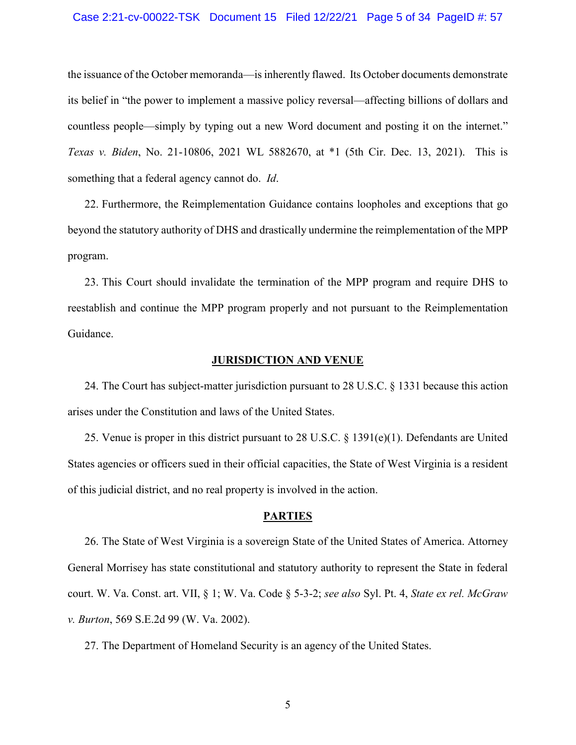### Case 2:21-cv-00022-TSK Document 15 Filed 12/22/21 Page 5 of 34 PageID #: 57

the issuance of the October memoranda—is inherently flawed. Its October documents demonstrate its belief in "the power to implement a massive policy reversal—affecting billions of dollars and countless people—simply by typing out a new Word document and posting it on the internet." *Texas v. Biden*, No. 21-10806, 2021 WL 5882670, at \*1 (5th Cir. Dec. 13, 2021). This is something that a federal agency cannot do. *Id*.

22. Furthermore, the Reimplementation Guidance contains loopholes and exceptions that go beyond the statutory authority of DHS and drastically undermine the reimplementation of the MPP program.

23. This Court should invalidate the termination of the MPP program and require DHS to reestablish and continue the MPP program properly and not pursuant to the Reimplementation Guidance.

### **JURISDICTION AND VENUE**

24. The Court has subject-matter jurisdiction pursuant to 28 U.S.C. § 1331 because this action arises under the Constitution and laws of the United States.

25. Venue is proper in this district pursuant to 28 U.S.C. § 1391(e)(1). Defendants are United States agencies or officers sued in their official capacities, the State of West Virginia is a resident of this judicial district, and no real property is involved in the action.

# **PARTIES**

26. The State of West Virginia is a sovereign State of the United States of America. Attorney General Morrisey has state constitutional and statutory authority to represent the State in federal court. W. Va. Const. art. VII, § 1; W. Va. Code § 5-3-2; *see also* Syl. Pt. 4, *State ex rel. McGraw v. Burton*, 569 S.E.2d 99 (W. Va. 2002).

27. The Department of Homeland Security is an agency of the United States.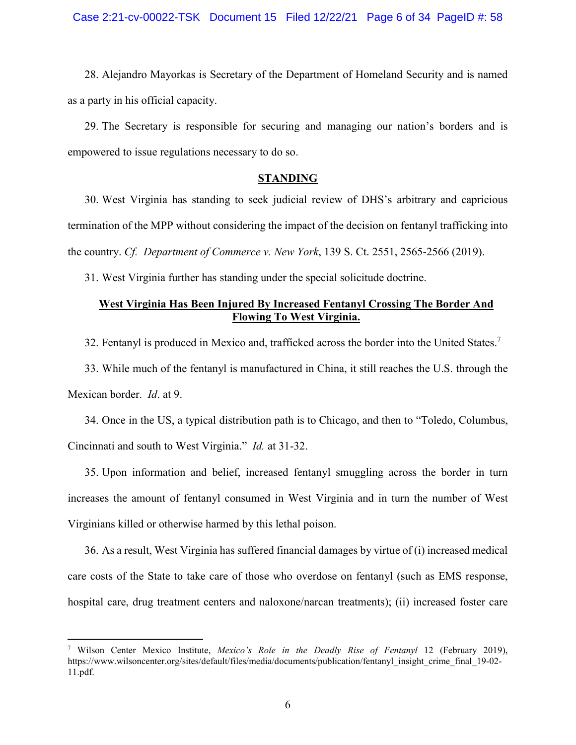28. Alejandro Mayorkas is Secretary of the Department of Homeland Security and is named as a party in his official capacity.

29. The Secretary is responsible for securing and managing our nation's borders and is empowered to issue regulations necessary to do so.

# **STANDING**

30. West Virginia has standing to seek judicial review of DHS's arbitrary and capricious termination of the MPP without considering the impact of the decision on fentanyl trafficking into the country. *Cf. Department of Commerce v. New York*, 139 S. Ct. 2551, 2565-2566 (2019).

31. West Virginia further has standing under the special solicitude doctrine.

# **West Virginia Has Been Injured By Increased Fentanyl Crossing The Border And Flowing To West Virginia.**

32. Fentanyl is produced in Mexico and, trafficked across the border into the United States.<sup>7</sup>

33. While much of the fentanyl is manufactured in China, it still reaches the U.S. through the Mexican border. *Id*. at 9.

34. Once in the US, a typical distribution path is to Chicago, and then to "Toledo, Columbus, Cincinnati and south to West Virginia." *Id.* at 31-32.

35. Upon information and belief, increased fentanyl smuggling across the border in turn increases the amount of fentanyl consumed in West Virginia and in turn the number of West Virginians killed or otherwise harmed by this lethal poison.

36. As a result, West Virginia has suffered financial damages by virtue of (i) increased medical care costs of the State to take care of those who overdose on fentanyl (such as EMS response, hospital care, drug treatment centers and naloxone/narcan treatments); (ii) increased foster care

<sup>7</sup> Wilson Center Mexico Institute, *Mexico's Role in the Deadly Rise of Fentanyl* 12 (February 2019), https://www.wilsoncenter.org/sites/default/files/media/documents/publication/fentanyl\_insight\_crime\_final\_19-02- 11.pdf.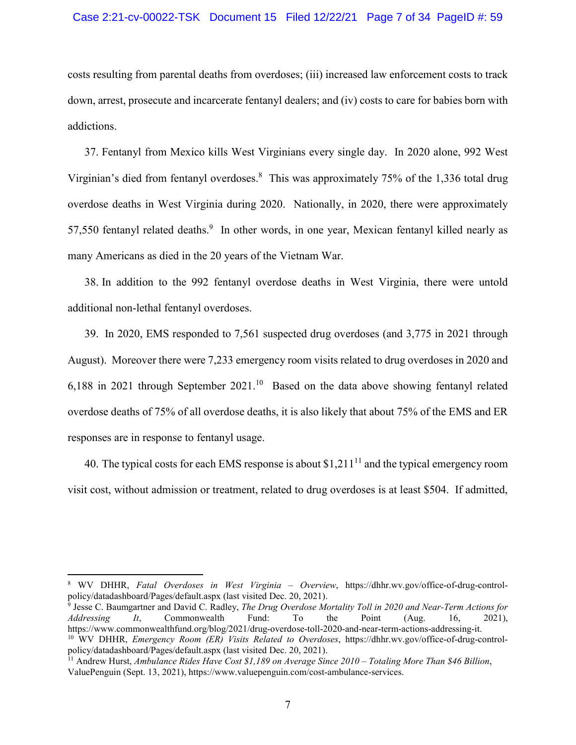costs resulting from parental deaths from overdoses; (iii) increased law enforcement costs to track down, arrest, prosecute and incarcerate fentanyl dealers; and (iv) costs to care for babies born with addictions.

37. Fentanyl from Mexico kills West Virginians every single day. In 2020 alone, 992 West Virginian's died from fentanyl overdoses.<sup>8</sup> This was approximately 75% of the 1,336 total drug overdose deaths in West Virginia during 2020. Nationally, in 2020, there were approximately 57,550 fentanyl related deaths.<sup>9</sup> In other words, in one year, Mexican fentanyl killed nearly as many Americans as died in the 20 years of the Vietnam War.

38. In addition to the 992 fentanyl overdose deaths in West Virginia, there were untold additional non-lethal fentanyl overdoses.

39. In 2020, EMS responded to 7,561 suspected drug overdoses (and 3,775 in 2021 through August). Moreover there were 7,233 emergency room visits related to drug overdoses in 2020 and 6,188 in 2021 through September  $2021$ .<sup>10</sup> Based on the data above showing fentanyl related overdose deaths of 75% of all overdose deaths, it is also likely that about 75% of the EMS and ER responses are in response to fentanyl usage.

40. The typical costs for each EMS response is about  $$1,211<sup>11</sup>$  and the typical emergency room visit cost, without admission or treatment, related to drug overdoses is at least \$504. If admitted,

9 Jesse C. Baumgartner and David C. Radley, *The Drug Overdose Mortality Toll in 2020 and Near-Term Actions for Addressing It*, Commonwealth Fund: To the Point (Aug. 16, 2021), https://www.commonwealthfund.org/blog/2021/drug-overdose-toll-2020-and-near-term-actions-addressing-it. 10 WV DHHR, *Emergency Room (ER) Visits Related to Overdoses*, https://dhhr.wv.gov/office-of-drug-controlpolicy/datadashboard/Pages/default.aspx (last visited Dec. 20, 2021).

<sup>8</sup> WV DHHR, *Fatal Overdoses in West Virginia – Overview*, https://dhhr.wv.gov/office-of-drug-controlpolicy/datadashboard/Pages/default.aspx (last visited Dec. 20, 2021).

<sup>11</sup> Andrew Hurst, *Ambulance Rides Have Cost \$1,189 on Average Since 2010 – Totaling More Than \$46 Billion*, ValuePenguin (Sept. 13, 2021), https://www.valuepenguin.com/cost-ambulance-services.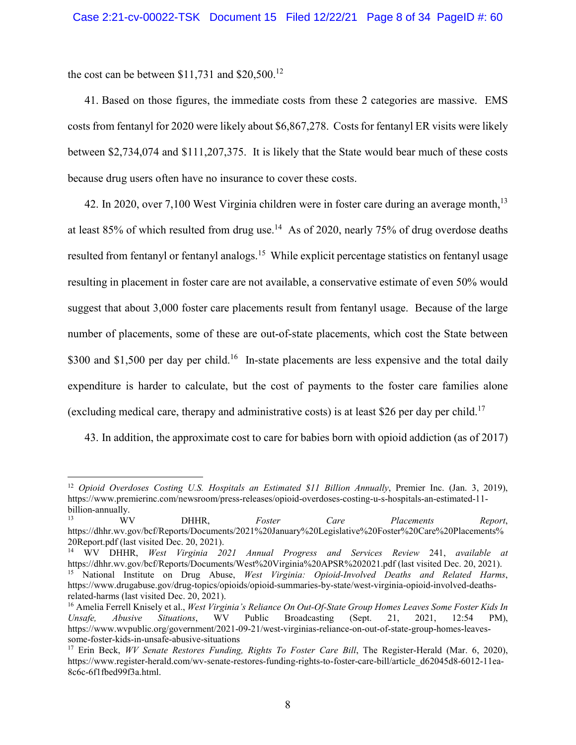the cost can be between  $$11,731$  and  $$20,500$ .<sup>12</sup>

41. Based on those figures, the immediate costs from these 2 categories are massive. EMS costs from fentanyl for 2020 were likely about \$6,867,278. Costs for fentanyl ER visits were likely between \$2,734,074 and \$111,207,375. It is likely that the State would bear much of these costs because drug users often have no insurance to cover these costs.

42. In 2020, over 7,100 West Virginia children were in foster care during an average month,  $13$ at least 85% of which resulted from drug use.<sup>14</sup> As of 2020, nearly 75% of drug overdose deaths resulted from fentanyl or fentanyl analogs.<sup>15</sup> While explicit percentage statistics on fentanyl usage resulting in placement in foster care are not available, a conservative estimate of even 50% would suggest that about 3,000 foster care placements result from fentanyl usage. Because of the large number of placements, some of these are out-of-state placements, which cost the State between \$300 and \$1,500 per day per child.<sup>16</sup> In-state placements are less expensive and the total daily expenditure is harder to calculate, but the cost of payments to the foster care families alone (excluding medical care, therapy and administrative costs) is at least \$26 per day per child.<sup>17</sup>

43. In addition, the approximate cost to care for babies born with opioid addiction (as of 2017)

<sup>12</sup> *Opioid Overdoses Costing U.S. Hospitals an Estimated \$11 Billion Annually*, Premier Inc. (Jan. 3, 2019), https://www.premierinc.com/newsroom/press-releases/opioid-overdoses-costing-u-s-hospitals-an-estimated-11 billion-annually.

<sup>13</sup> WV DHHR, *Foster Care Placements Report*, https://dhhr.wv.gov/bcf/Reports/Documents/2021%20January%20Legislative%20Foster%20Care%20Placements% 20Report.pdf (last visited Dec. 20, 2021).

<sup>14</sup> WV DHHR, *West Virginia 2021 Annual Progress and Services Review* 241, *available at*  https://dhhr.wv.gov/bcf/Reports/Documents/West%20Virginia%20APSR%202021.pdf (last visited Dec. 20, 2021).

<sup>15</sup> National Institute on Drug Abuse, *West Virginia: Opioid-Involved Deaths and Related Harms*, https://www.drugabuse.gov/drug-topics/opioids/opioid-summaries-by-state/west-virginia-opioid-involved-deathsrelated-harms (last visited Dec. 20, 2021).

<sup>16</sup> Amelia Ferrell Knisely et al., *West Virginia's Reliance On Out-Of-State Group Homes Leaves Some Foster Kids In Unsafe, Abusive Situations*, WV Public Broadcasting (Sept. 21, 2021, 12:54 PM), https://www.wvpublic.org/government/2021-09-21/west-virginias-reliance-on-out-of-state-group-homes-leavessome-foster-kids-in-unsafe-abusive-situations

<sup>17</sup> Erin Beck, *WV Senate Restores Funding, Rights To Foster Care Bill*, The Register-Herald (Mar. 6, 2020), https://www.register-herald.com/wv-senate-restores-funding-rights-to-foster-care-bill/article\_d62045d8-6012-11ea-8c6c-6f1fbed99f3a.html.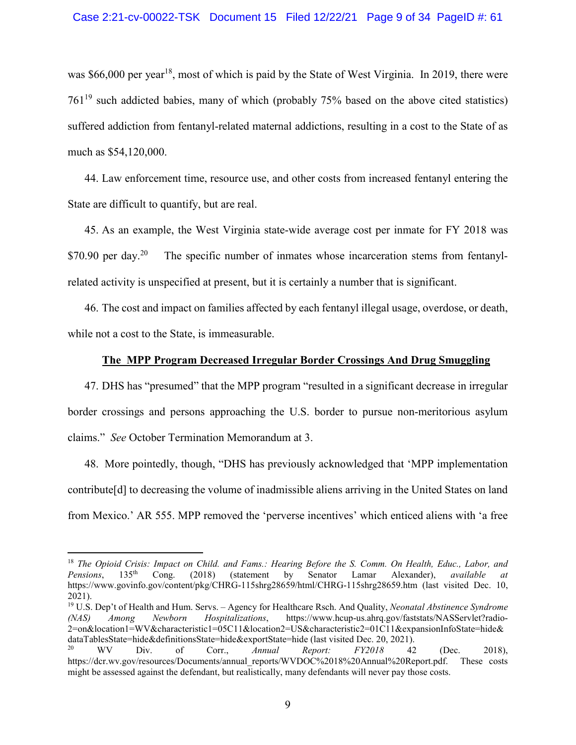was \$66,000 per year<sup>18</sup>, most of which is paid by the State of West Virginia. In 2019, there were  $761^{19}$  such addicted babies, many of which (probably 75% based on the above cited statistics) suffered addiction from fentanyl-related maternal addictions, resulting in a cost to the State of as much as \$54,120,000.

44. Law enforcement time, resource use, and other costs from increased fentanyl entering the State are difficult to quantify, but are real.

45. As an example, the West Virginia state-wide average cost per inmate for FY 2018 was  $$70.90$  per day.<sup>20</sup> The specific number of inmates whose incarceration stems from fentanylrelated activity is unspecified at present, but it is certainly a number that is significant.

46. The cost and impact on families affected by each fentanyl illegal usage, overdose, or death, while not a cost to the State, is immeasurable.

### **The MPP Program Decreased Irregular Border Crossings And Drug Smuggling**

47. DHS has "presumed" that the MPP program "resulted in a significant decrease in irregular border crossings and persons approaching the U.S. border to pursue non-meritorious asylum claims." *See* October Termination Memorandum at 3.

48. More pointedly, though, "DHS has previously acknowledged that 'MPP implementation contribute[d] to decreasing the volume of inadmissible aliens arriving in the United States on land from Mexico.' AR 555. MPP removed the 'perverse incentives' which enticed aliens with 'a free

<sup>18</sup> *The Opioid Crisis: Impact on Child. and Fams.: Hearing Before the S. Comm. On Health, Educ., Labor, and Pensions*, 135th Cong. (2018) (statement by Senator Lamar Alexander), *available at* https://www.govinfo.gov/content/pkg/CHRG-115shrg28659/html/CHRG-115shrg28659.htm (last visited Dec. 10, 2021).

<sup>19</sup> U.S. Dep't of Health and Hum. Servs. – Agency for Healthcare Rsch. And Quality, *Neonatal Abstinence Syndrome (NAS) Among Newborn Hospitalizations*, https://www.hcup-us.ahrq.gov/faststats/NASServlet?radio-2=on&location1=WV&characteristic1=05C11&location2=US&characteristic2=01C11&expansionInfoState=hide& dataTablesState=hide&definitionsState=hide&exportState=hide (last visited Dec. 20, 2021).

<sup>20</sup> WV Div. of Corr., *Annual Report: FY2018* 42 (Dec. 2018), https://dcr.wv.gov/resources/Documents/annual\_reports/WVDOC%2018%20Annual%20Report.pdf. These costs might be assessed against the defendant, but realistically, many defendants will never pay those costs.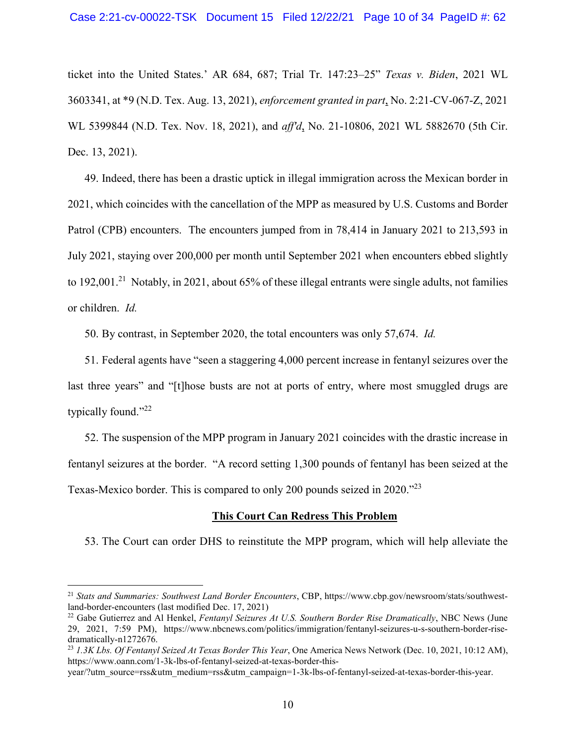ticket into the United States.' AR 684, 687; Trial Tr. 147:23–25" *Texas v. Biden*, 2021 WL 3603341, at \*9 (N.D. Tex. Aug. 13, 2021), *enforcement granted in part*, No. 2:21-CV-067-Z, 2021 WL 5399844 (N.D. Tex. Nov. 18, 2021), and *aff'd*, No. 21-10806, 2021 WL 5882670 (5th Cir. Dec. 13, 2021).

49. Indeed, there has been a drastic uptick in illegal immigration across the Mexican border in 2021, which coincides with the cancellation of the MPP as measured by U.S. Customs and Border Patrol (CPB) encounters. The encounters jumped from in 78,414 in January 2021 to 213,593 in July 2021, staying over 200,000 per month until September 2021 when encounters ebbed slightly to 192,001.<sup>21</sup> Notably, in 2021, about 65% of these illegal entrants were single adults, not families or children. *Id.*

50. By contrast, in September 2020, the total encounters was only 57,674. *Id.*

51. Federal agents have "seen a staggering 4,000 percent increase in fentanyl seizures over the last three years" and "[t]hose busts are not at ports of entry, where most smuggled drugs are typically found."<sup>22</sup>

52. The suspension of the MPP program in January 2021 coincides with the drastic increase in fentanyl seizures at the border. "A record setting 1,300 pounds of fentanyl has been seized at the Texas-Mexico border. This is compared to only 200 pounds seized in 2020."<sup>23</sup>

## **This Court Can Redress This Problem**

53. The Court can order DHS to reinstitute the MPP program, which will help alleviate the

<sup>21</sup> *Stats and Summaries: Southwest Land Border Encounters*, CBP, https://www.cbp.gov/newsroom/stats/southwestland-border-encounters (last modified Dec. 17, 2021)

<sup>22</sup> Gabe Gutierrez and Al Henkel, *Fentanyl Seizures At U.S. Southern Border Rise Dramatically*, NBC News (June 29, 2021, 7:59 PM), https://www.nbcnews.com/politics/immigration/fentanyl-seizures-u-s-southern-border-risedramatically-n1272676.

<sup>23</sup> *1.3K Lbs. Of Fentanyl Seized At Texas Border This Year*, One America News Network (Dec. 10, 2021, 10:12 AM), https://www.oann.com/1-3k-lbs-of-fentanyl-seized-at-texas-border-this-

year/?utm\_source=rss&utm\_medium=rss&utm\_campaign=1-3k-lbs-of-fentanyl-seized-at-texas-border-this-year.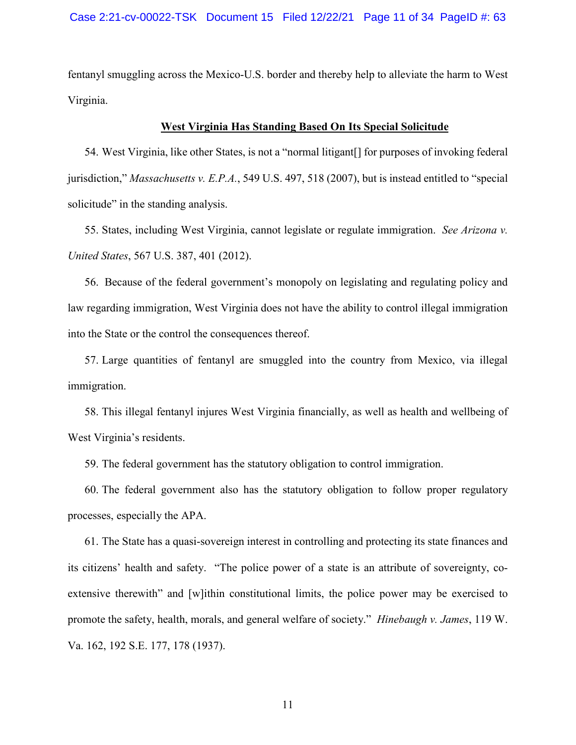fentanyl smuggling across the Mexico-U.S. border and thereby help to alleviate the harm to West Virginia.

### **West Virginia Has Standing Based On Its Special Solicitude**

54. West Virginia, like other States, is not a "normal litigant[] for purposes of invoking federal jurisdiction," *Massachusetts v. E.P.A.*, 549 U.S. 497, 518 (2007), but is instead entitled to "special solicitude" in the standing analysis.

55. States, including West Virginia, cannot legislate or regulate immigration. *See Arizona v. United States*, 567 U.S. 387, 401 (2012).

56. Because of the federal government's monopoly on legislating and regulating policy and law regarding immigration, West Virginia does not have the ability to control illegal immigration into the State or the control the consequences thereof.

57. Large quantities of fentanyl are smuggled into the country from Mexico, via illegal immigration.

58. This illegal fentanyl injures West Virginia financially, as well as health and wellbeing of West Virginia's residents.

59. The federal government has the statutory obligation to control immigration.

60. The federal government also has the statutory obligation to follow proper regulatory processes, especially the APA.

61. The State has a quasi-sovereign interest in controlling and protecting its state finances and its citizens' health and safety. "The police power of a state is an attribute of sovereignty, coextensive therewith" and [w]ithin constitutional limits, the police power may be exercised to promote the safety, health, morals, and general welfare of society." *Hinebaugh v. James*, 119 W. Va. 162, 192 S.E. 177, 178 (1937).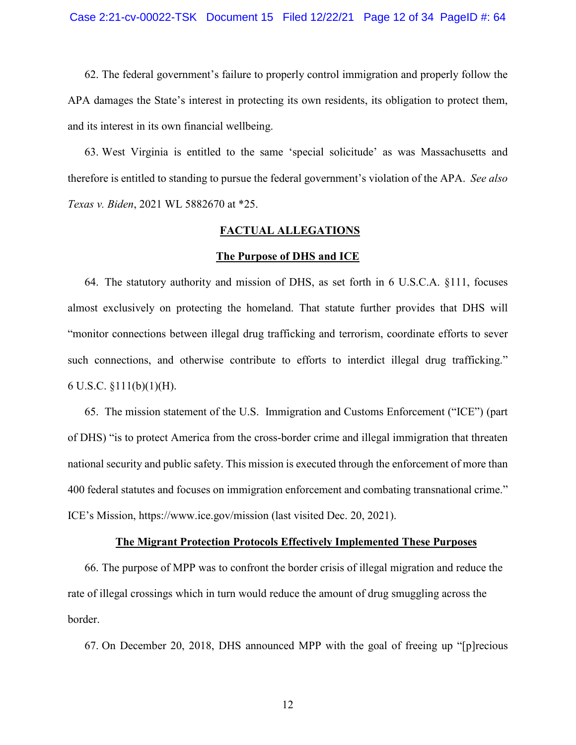62. The federal government's failure to properly control immigration and properly follow the APA damages the State's interest in protecting its own residents, its obligation to protect them, and its interest in its own financial wellbeing.

63. West Virginia is entitled to the same 'special solicitude' as was Massachusetts and therefore is entitled to standing to pursue the federal government's violation of the APA. *See also Texas v. Biden*, 2021 WL 5882670 at \*25.

## **FACTUAL ALLEGATIONS**

#### **The Purpose of DHS and ICE**

64. The statutory authority and mission of DHS, as set forth in 6 U.S.C.A. §111, focuses almost exclusively on protecting the homeland. That statute further provides that DHS will "monitor connections between illegal drug trafficking and terrorism, coordinate efforts to sever such connections, and otherwise contribute to efforts to interdict illegal drug trafficking." 6 U.S.C. §111(b)(1)(H).

65. The mission statement of the U.S. Immigration and Customs Enforcement ("ICE") (part of DHS) "is to protect America from the cross-border crime and illegal immigration that threaten national security and public safety. This mission is executed through the enforcement of more than 400 federal statutes and focuses on immigration enforcement and combating transnational crime." ICE's Mission, https://www.ice.gov/mission (last visited Dec. 20, 2021).

#### **The Migrant Protection Protocols Effectively Implemented These Purposes**

66. The purpose of MPP was to confront the border crisis of illegal migration and reduce the rate of illegal crossings which in turn would reduce the amount of drug smuggling across the border.

67. On December 20, 2018, DHS announced MPP with the goal of freeing up "[p]recious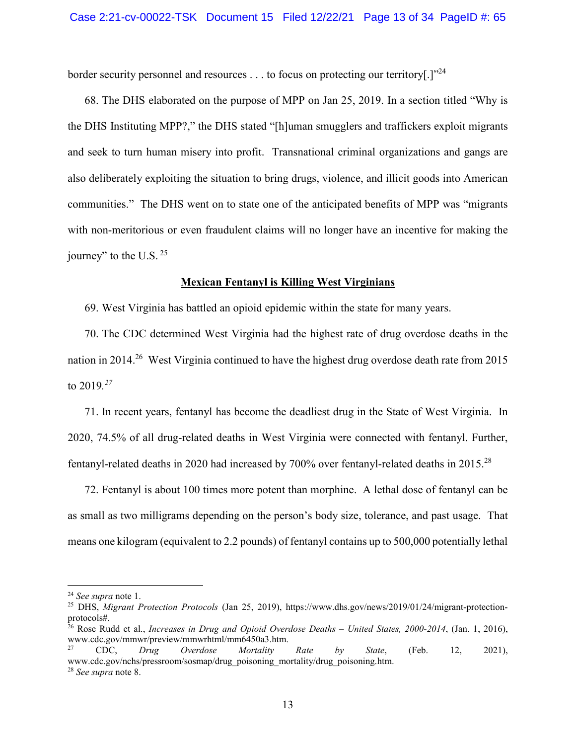border security personnel and resources  $\dots$  to focus on protecting our territory[.] $"^{24}$ 

68. The DHS elaborated on the purpose of MPP on Jan 25, 2019. In a section titled "Why is the DHS Instituting MPP?," the DHS stated "[h]uman smugglers and traffickers exploit migrants and seek to turn human misery into profit. Transnational criminal organizations and gangs are also deliberately exploiting the situation to bring drugs, violence, and illicit goods into American communities." The DHS went on to state one of the anticipated benefits of MPP was "migrants with non-meritorious or even fraudulent claims will no longer have an incentive for making the journey" to the U.S.  $25$ 

### **Mexican Fentanyl is Killing West Virginians**

69. West Virginia has battled an opioid epidemic within the state for many years.

70. The CDC determined West Virginia had the highest rate of drug overdose deaths in the nation in 2014.<sup>26</sup> West Virginia continued to have the highest drug overdose death rate from 2015 to 2019*. 27*

71. In recent years, fentanyl has become the deadliest drug in the State of West Virginia. In 2020, 74.5% of all drug-related deaths in West Virginia were connected with fentanyl. Further, fentanyl-related deaths in 2020 had increased by 700% over fentanyl-related deaths in 2015.<sup>28</sup>

72. Fentanyl is about 100 times more potent than morphine. A lethal dose of fentanyl can be as small as two milligrams depending on the person's body size, tolerance, and past usage. That means one kilogram (equivalent to 2.2 pounds) of fentanyl contains up to 500,000 potentially lethal

<sup>24</sup> *See supra* note 1.

<sup>25</sup> DHS, *Migrant Protection Protocols* (Jan 25, 2019), https://www.dhs.gov/news/2019/01/24/migrant-protectionprotocols#.

<sup>26</sup> Rose Rudd et al., *Increases in Drug and Opioid Overdose Deaths – United States, 2000-2014*, (Jan. 1, 2016), www.cdc.gov/mmwr/preview/mmwrhtml/mm6450a3.htm.

<sup>27</sup> CDC, *Drug Overdose Mortality Rate by State*, (Feb. 12, 2021), www.cdc.gov/nchs/pressroom/sosmap/drug\_poisoning\_mortality/drug\_poisoning.htm. <sup>28</sup> *See supra* note 8.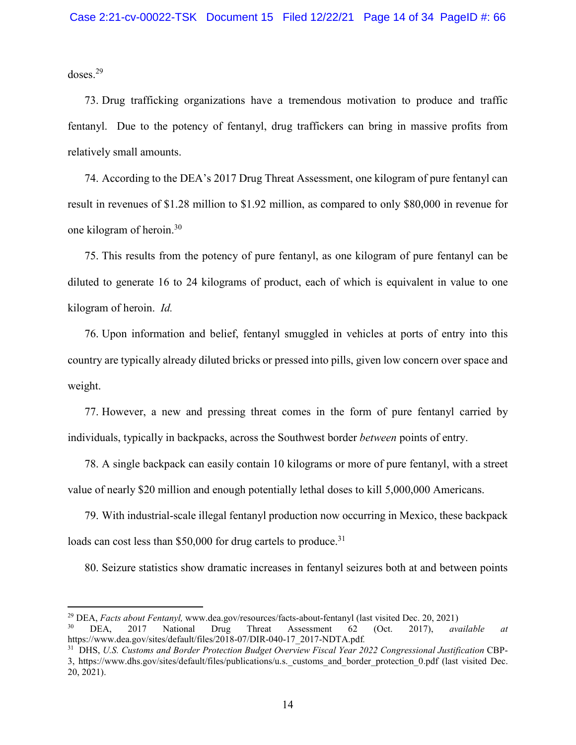doses.<sup>29</sup>

73. Drug trafficking organizations have a tremendous motivation to produce and traffic fentanyl. Due to the potency of fentanyl, drug traffickers can bring in massive profits from relatively small amounts.

74. According to the DEA's 2017 Drug Threat Assessment, one kilogram of pure fentanyl can result in revenues of \$1.28 million to \$1.92 million, as compared to only \$80,000 in revenue for one kilogram of heroin.<sup>30</sup>

75. This results from the potency of pure fentanyl, as one kilogram of pure fentanyl can be diluted to generate 16 to 24 kilograms of product, each of which is equivalent in value to one kilogram of heroin. *Id.*

76. Upon information and belief, fentanyl smuggled in vehicles at ports of entry into this country are typically already diluted bricks or pressed into pills, given low concern over space and weight.

77. However, a new and pressing threat comes in the form of pure fentanyl carried by individuals, typically in backpacks, across the Southwest border *between* points of entry.

78. A single backpack can easily contain 10 kilograms or more of pure fentanyl, with a street value of nearly \$20 million and enough potentially lethal doses to kill 5,000,000 Americans.

79. With industrial-scale illegal fentanyl production now occurring in Mexico, these backpack loads can cost less than \$50,000 for drug cartels to produce.<sup>31</sup>

80. Seizure statistics show dramatic increases in fentanyl seizures both at and between points

<sup>29</sup> DEA, *Facts about Fentanyl,* www.dea.gov/resources/facts-about-fentanyl (last visited Dec. 20, 2021)

<sup>30</sup> DEA, 2017 National Drug Threat Assessment 62 (Oct. 2017), *available at* https://www.dea.gov/sites/default/files/2018-07/DIR-040-17\_2017-NDTA.pdf*.*

<sup>31</sup> DHS, *U.S. Customs and Border Protection Budget Overview Fiscal Year 2022 Congressional Justification* CBP-3, https://www.dhs.gov/sites/default/files/publications/u.s.\_customs\_and\_border\_protection\_0.pdf (last visited Dec. 20, 2021).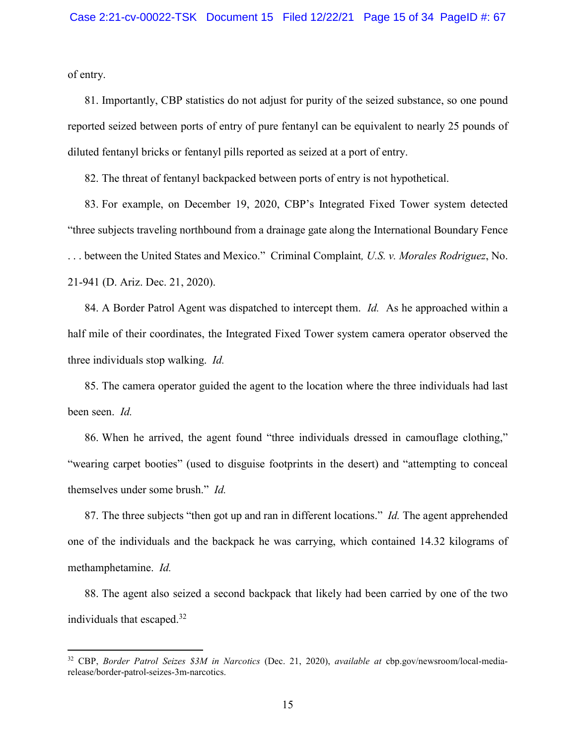of entry.

81. Importantly, CBP statistics do not adjust for purity of the seized substance, so one pound reported seized between ports of entry of pure fentanyl can be equivalent to nearly 25 pounds of diluted fentanyl bricks or fentanyl pills reported as seized at a port of entry.

82. The threat of fentanyl backpacked between ports of entry is not hypothetical.

83. For example, on December 19, 2020, CBP's Integrated Fixed Tower system detected "three subjects traveling northbound from a drainage gate along the International Boundary Fence . . . between the United States and Mexico." Criminal Complaint*, U.S. v. Morales Rodriguez*, No. 21-941 (D. Ariz. Dec. 21, 2020).

84. A Border Patrol Agent was dispatched to intercept them. *Id.* As he approached within a half mile of their coordinates, the Integrated Fixed Tower system camera operator observed the three individuals stop walking. *Id.*

85. The camera operator guided the agent to the location where the three individuals had last been seen. *Id.*

86. When he arrived, the agent found "three individuals dressed in camouflage clothing," "wearing carpet booties" (used to disguise footprints in the desert) and "attempting to conceal themselves under some brush." *Id.* 

87. The three subjects "then got up and ran in different locations." *Id.* The agent apprehended one of the individuals and the backpack he was carrying, which contained 14.32 kilograms of methamphetamine. *Id.* 

88. The agent also seized a second backpack that likely had been carried by one of the two individuals that escaped.<sup>32</sup>

<sup>32</sup> CBP, *Border Patrol Seizes \$3M in Narcotics* (Dec. 21, 2020), *available at* cbp.gov/newsroom/local-mediarelease/border-patrol-seizes-3m-narcotics.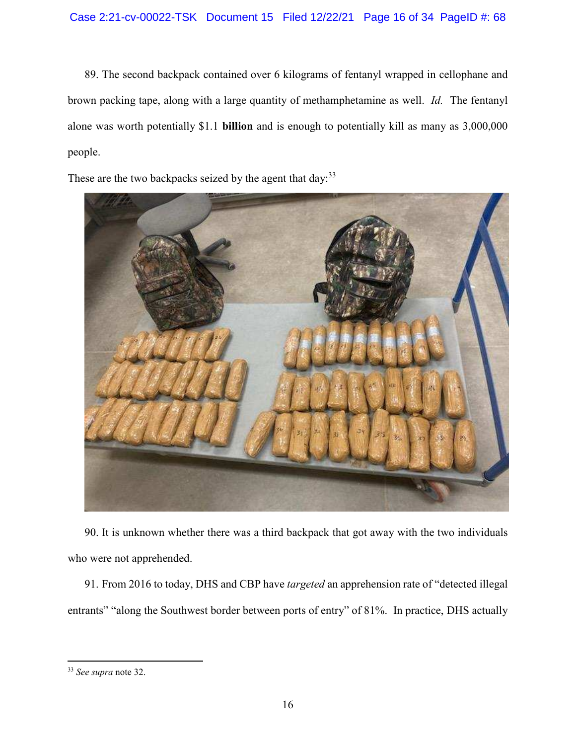89. The second backpack contained over 6 kilograms of fentanyl wrapped in cellophane and brown packing tape, along with a large quantity of methamphetamine as well. *Id.* The fentanyl alone was worth potentially \$1.1 **billion** and is enough to potentially kill as many as 3,000,000 people.

These are the two backpacks seized by the agent that day:  $33$ 



90. It is unknown whether there was a third backpack that got away with the two individuals who were not apprehended.

91. From 2016 to today, DHS and CBP have *targeted* an apprehension rate of "detected illegal entrants" "along the Southwest border between ports of entry" of 81%. In practice, DHS actually

<sup>33</sup> *See supra* note 32.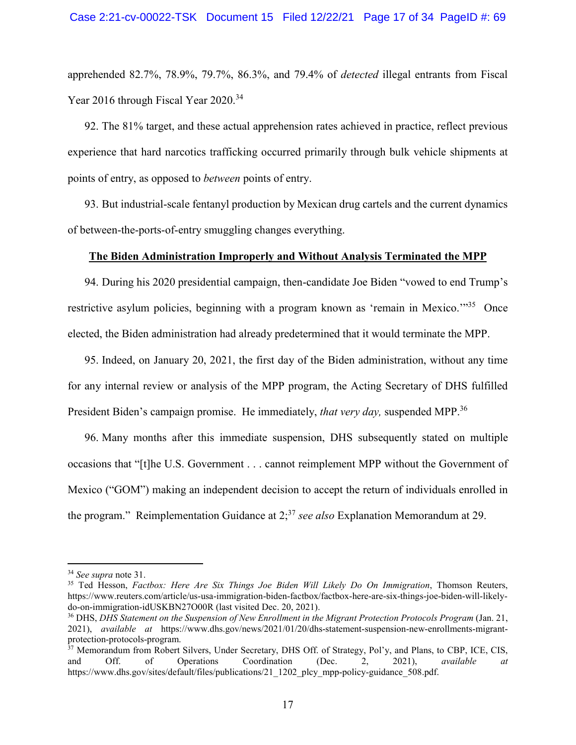apprehended 82.7%, 78.9%, 79.7%, 86.3%, and 79.4% of *detected* illegal entrants from Fiscal Year 2016 through Fiscal Year 2020.<sup>34</sup>

92. The 81% target, and these actual apprehension rates achieved in practice, reflect previous experience that hard narcotics trafficking occurred primarily through bulk vehicle shipments at points of entry, as opposed to *between* points of entry.

93. But industrial-scale fentanyl production by Mexican drug cartels and the current dynamics of between-the-ports-of-entry smuggling changes everything.

### **The Biden Administration Improperly and Without Analysis Terminated the MPP**

94. During his 2020 presidential campaign, then-candidate Joe Biden "vowed to end Trump's restrictive asylum policies, beginning with a program known as 'remain in Mexico.'"<sup>35</sup> Once elected, the Biden administration had already predetermined that it would terminate the MPP.

95. Indeed, on January 20, 2021, the first day of the Biden administration, without any time for any internal review or analysis of the MPP program, the Acting Secretary of DHS fulfilled President Biden's campaign promise. He immediately, *that very day*, suspended MPP.<sup>36</sup>

96. Many months after this immediate suspension, DHS subsequently stated on multiple occasions that "[t]he U.S. Government . . . cannot reimplement MPP without the Government of Mexico ("GOM") making an independent decision to accept the return of individuals enrolled in the program." Reimplementation Guidance at 2;<sup>37</sup> *see also* Explanation Memorandum at 29.

<sup>34</sup> *See supra* note 31.

<sup>35</sup> Ted Hesson, *Factbox: Here Are Six Things Joe Biden Will Likely Do On Immigration*, Thomson Reuters, https://www.reuters.com/article/us-usa-immigration-biden-factbox/factbox-here-are-six-things-joe-biden-will-likelydo-on-immigration-idUSKBN27O00R (last visited Dec. 20, 2021).

<sup>36</sup> DHS, *DHS Statement on the Suspension of New Enrollment in the Migrant Protection Protocols Program* (Jan. 21, 2021), *available at* https://www.dhs.gov/news/2021/01/20/dhs-statement-suspension-new-enrollments-migrantprotection-protocols-program.

<sup>&</sup>lt;sup>37</sup> Memorandum from Robert Silvers, Under Secretary, DHS Off. of Strategy, Pol'y, and Plans, to CBP, ICE, CIS, and Off. of Operations Coordination (Dec. 2, 2021), *available at*  https://www.dhs.gov/sites/default/files/publications/21\_1202\_plcy\_mpp-policy-guidance\_508.pdf.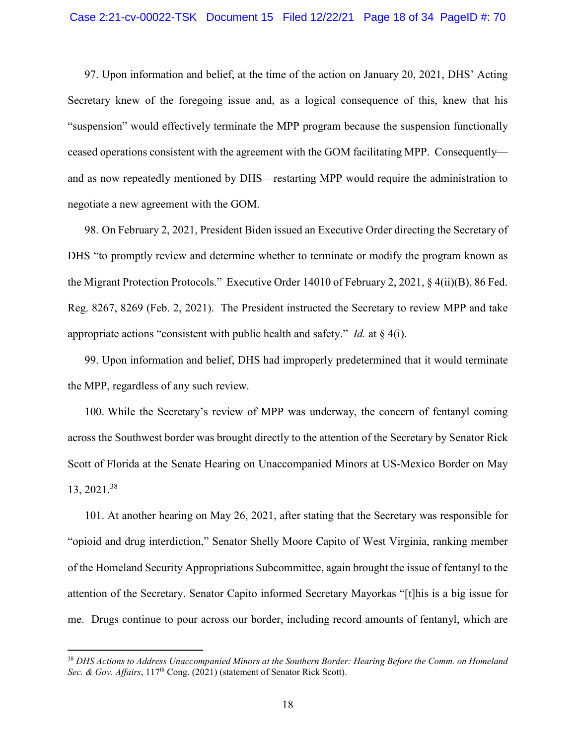97. Upon information and belief, at the time of the action on January 20, 2021, DHS' Acting Secretary knew of the foregoing issue and, as a logical consequence of this, knew that his "suspension" would effectively terminate the MPP program because the suspension functionally ceased operations consistent with the agreement with the GOM facilitating MPP. Consequently and as now repeatedly mentioned by DHS—restarting MPP would require the administration to negotiate a new agreement with the GOM.

98. On February 2, 2021, President Biden issued an Executive Order directing the Secretary of DHS "to promptly review and determine whether to terminate or modify the program known as the Migrant Protection Protocols." Executive Order 14010 of February 2, 2021, § 4(ii)(B), 86 Fed. Reg. 8267, 8269 (Feb. 2, 2021). The President instructed the Secretary to review MPP and take appropriate actions "consistent with public health and safety." *Id.* at § 4(i).

99. Upon information and belief, DHS had improperly predetermined that it would terminate the MPP, regardless of any such review.

100. While the Secretary's review of MPP was underway, the concern of fentanyl coming across the Southwest border was brought directly to the attention of the Secretary by Senator Rick Scott of Florida at the Senate Hearing on Unaccompanied Minors at US-Mexico Border on May 13, 2021.<sup>38</sup>

101. At another hearing on May 26, 2021, after stating that the Secretary was responsible for "opioid and drug interdiction," Senator Shelly Moore Capito of West Virginia, ranking member of the Homeland Security Appropriations Subcommittee, again brought the issue of fentanyl to the attention of the Secretary. Senator Capito informed Secretary Mayorkas "[t]his is a big issue for me. Drugs continue to pour across our border, including record amounts of fentanyl, which are

<sup>38</sup> *DHS Actions to Address Unaccompanied Minors at the Southern Border: Hearing Before the Comm. on Homeland Sec. & Gov. Affairs*,  $117<sup>th</sup>$  Cong. (2021) (statement of Senator Rick Scott).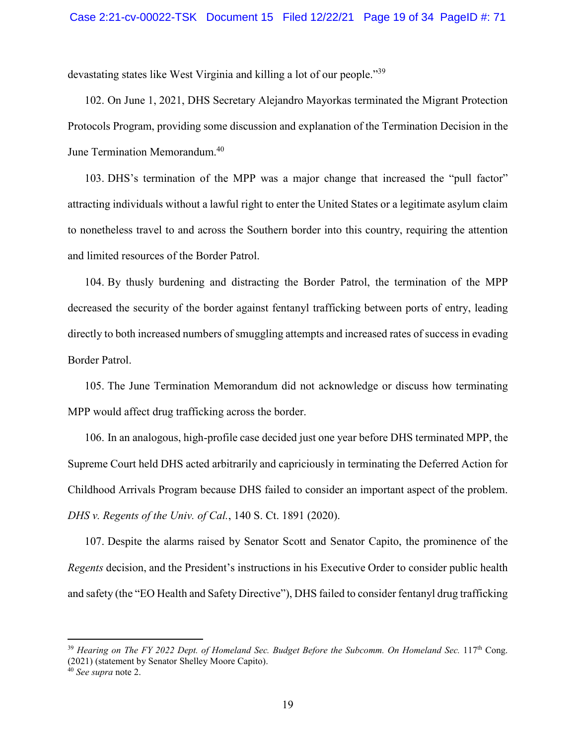devastating states like West Virginia and killing a lot of our people."<sup>39</sup>

102. On June 1, 2021, DHS Secretary Alejandro Mayorkas terminated the Migrant Protection Protocols Program, providing some discussion and explanation of the Termination Decision in the June Termination Memorandum.<sup>40</sup>

103. DHS's termination of the MPP was a major change that increased the "pull factor" attracting individuals without a lawful right to enter the United States or a legitimate asylum claim to nonetheless travel to and across the Southern border into this country, requiring the attention and limited resources of the Border Patrol.

104. By thusly burdening and distracting the Border Patrol, the termination of the MPP decreased the security of the border against fentanyl trafficking between ports of entry, leading directly to both increased numbers of smuggling attempts and increased rates of success in evading Border Patrol.

105. The June Termination Memorandum did not acknowledge or discuss how terminating MPP would affect drug trafficking across the border.

106. In an analogous, high-profile case decided just one year before DHS terminated MPP, the Supreme Court held DHS acted arbitrarily and capriciously in terminating the Deferred Action for Childhood Arrivals Program because DHS failed to consider an important aspect of the problem. *DHS v. Regents of the Univ. of Cal.*, 140 S. Ct. 1891 (2020).

107. Despite the alarms raised by Senator Scott and Senator Capito, the prominence of the *Regents* decision, and the President's instructions in his Executive Order to consider public health and safety (the "EO Health and Safety Directive"), DHS failed to consider fentanyl drug trafficking

<sup>&</sup>lt;sup>39</sup> Hearing on The FY 2022 Dept. of Homeland Sec. Budget Before the Subcomm. On Homeland Sec. 117<sup>th</sup> Cong. (2021) (statement by Senator Shelley Moore Capito).

<sup>40</sup> *See supra* note 2.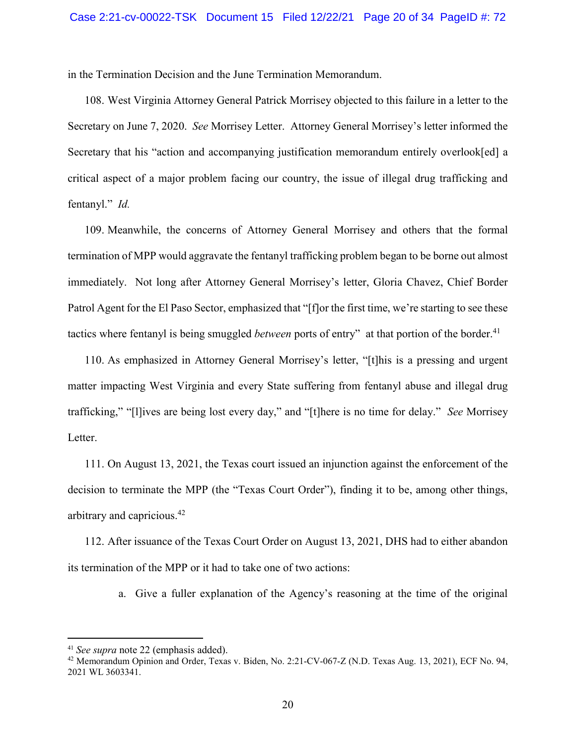in the Termination Decision and the June Termination Memorandum.

108. West Virginia Attorney General Patrick Morrisey objected to this failure in a letter to the Secretary on June 7, 2020. *See* Morrisey Letter. Attorney General Morrisey's letter informed the Secretary that his "action and accompanying justification memorandum entirely overlook[ed] a critical aspect of a major problem facing our country, the issue of illegal drug trafficking and fentanyl." *Id.*

109. Meanwhile, the concerns of Attorney General Morrisey and others that the formal termination of MPP would aggravate the fentanyl trafficking problem began to be borne out almost immediately. Not long after Attorney General Morrisey's letter, Gloria Chavez, Chief Border Patrol Agent for the El Paso Sector, emphasized that "[f]or the first time, we're starting to see these tactics where fentanyl is being smuggled *between* ports of entry" at that portion of the border.<sup>41</sup>

110. As emphasized in Attorney General Morrisey's letter, "[t]his is a pressing and urgent matter impacting West Virginia and every State suffering from fentanyl abuse and illegal drug trafficking," "[l]ives are being lost every day," and "[t]here is no time for delay." *See* Morrisey Letter.

111. On August 13, 2021, the Texas court issued an injunction against the enforcement of the decision to terminate the MPP (the "Texas Court Order"), finding it to be, among other things, arbitrary and capricious.<sup>42</sup>

112. After issuance of the Texas Court Order on August 13, 2021, DHS had to either abandon its termination of the MPP or it had to take one of two actions:

a. Give a fuller explanation of the Agency's reasoning at the time of the original

<sup>41</sup> *See supra* note 22 (emphasis added).

 $42$  Memorandum Opinion and Order, Texas v. Biden, No. 2:21-CV-067-Z (N.D. Texas Aug. 13, 2021), ECF No. 94, 2021 WL 3603341.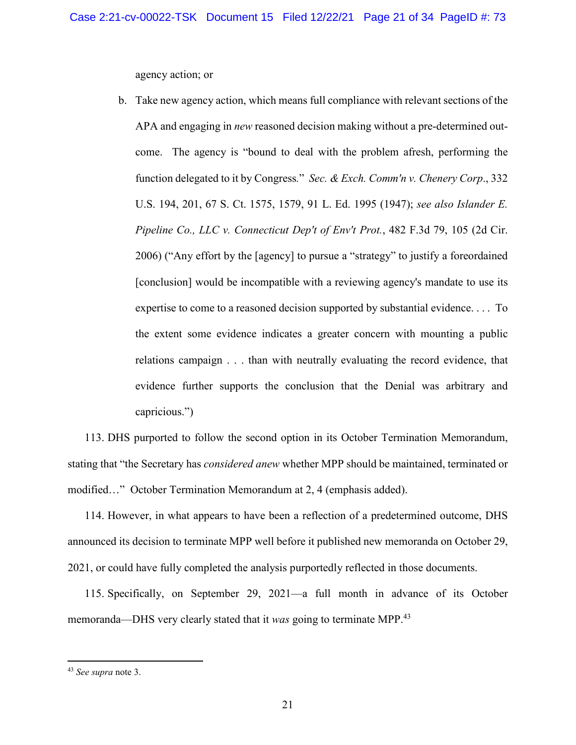agency action; or

b. Take new agency action, which means full compliance with relevant sections of the APA and engaging in *new* reasoned decision making without a pre-determined outcome. The agency is "bound to deal with the problem afresh, performing the function delegated to it by Congress*.*" *Sec. & Exch. Comm'n v. Chenery Corp*., 332 U.S. 194, 201, 67 S. Ct. 1575, 1579, 91 L. Ed. 1995 (1947); *see also Islander E. Pipeline Co., LLC v. Connecticut Dep't of Env't Prot.*, 482 F.3d 79, 105 (2d Cir. 2006) ("Any effort by the [agency] to pursue a "strategy" to justify a foreordained [conclusion] would be incompatible with a reviewing agency's mandate to use its expertise to come to a reasoned decision supported by substantial evidence. . . . To the extent some evidence indicates a greater concern with mounting a public relations campaign . . . than with neutrally evaluating the record evidence, that evidence further supports the conclusion that the Denial was arbitrary and capricious.")

113. DHS purported to follow the second option in its October Termination Memorandum, stating that "the Secretary has *considered anew* whether MPP should be maintained, terminated or modified…" October Termination Memorandum at 2, 4 (emphasis added).

114. However, in what appears to have been a reflection of a predetermined outcome, DHS announced its decision to terminate MPP well before it published new memoranda on October 29, 2021, or could have fully completed the analysis purportedly reflected in those documents.

115. Specifically, on September 29, 2021—a full month in advance of its October memoranda—DHS very clearly stated that it *was* going to terminate MPP.<sup>43</sup>

<sup>43</sup> *See supra* note 3.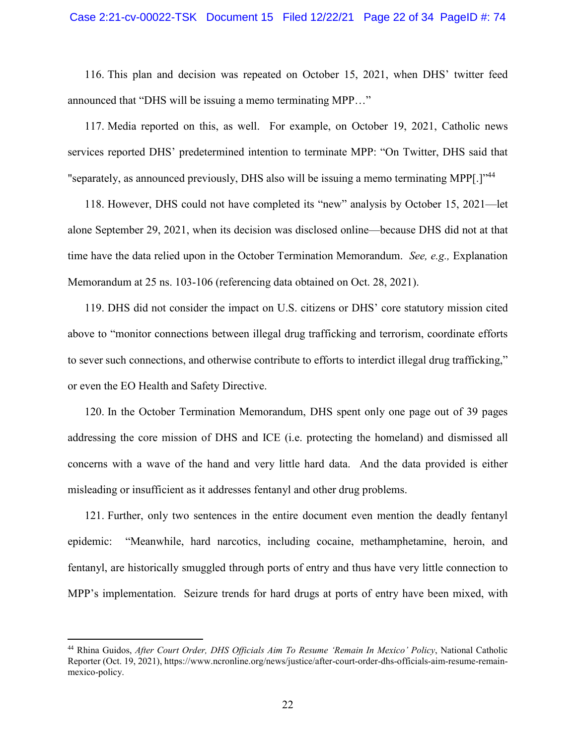### Case 2:21-cv-00022-TSK Document 15 Filed 12/22/21 Page 22 of 34 PageID #: 74

116. This plan and decision was repeated on October 15, 2021, when DHS' twitter feed announced that "DHS will be issuing a memo terminating MPP…"

117. Media reported on this, as well. For example, on October 19, 2021, Catholic news services reported DHS' predetermined intention to terminate MPP: "On Twitter, DHS said that "separately, as announced previously, DHS also will be issuing a memo terminating MPP[.]"<sup>44</sup>

118. However, DHS could not have completed its "new" analysis by October 15, 2021—let alone September 29, 2021, when its decision was disclosed online—because DHS did not at that time have the data relied upon in the October Termination Memorandum. *See, e.g.,* Explanation Memorandum at 25 ns. 103-106 (referencing data obtained on Oct. 28, 2021).

119. DHS did not consider the impact on U.S. citizens or DHS' core statutory mission cited above to "monitor connections between illegal drug trafficking and terrorism, coordinate efforts to sever such connections, and otherwise contribute to efforts to interdict illegal drug trafficking," or even the EO Health and Safety Directive.

120. In the October Termination Memorandum, DHS spent only one page out of 39 pages addressing the core mission of DHS and ICE (i.e. protecting the homeland) and dismissed all concerns with a wave of the hand and very little hard data. And the data provided is either misleading or insufficient as it addresses fentanyl and other drug problems.

121. Further, only two sentences in the entire document even mention the deadly fentanyl epidemic: "Meanwhile, hard narcotics, including cocaine, methamphetamine, heroin, and fentanyl, are historically smuggled through ports of entry and thus have very little connection to MPP's implementation. Seizure trends for hard drugs at ports of entry have been mixed, with

<sup>44</sup> Rhina Guidos, *After Court Order, DHS Officials Aim To Resume 'Remain In Mexico' Policy*, National Catholic Reporter (Oct. 19, 2021), https://www.ncronline.org/news/justice/after-court-order-dhs-officials-aim-resume-remainmexico-policy.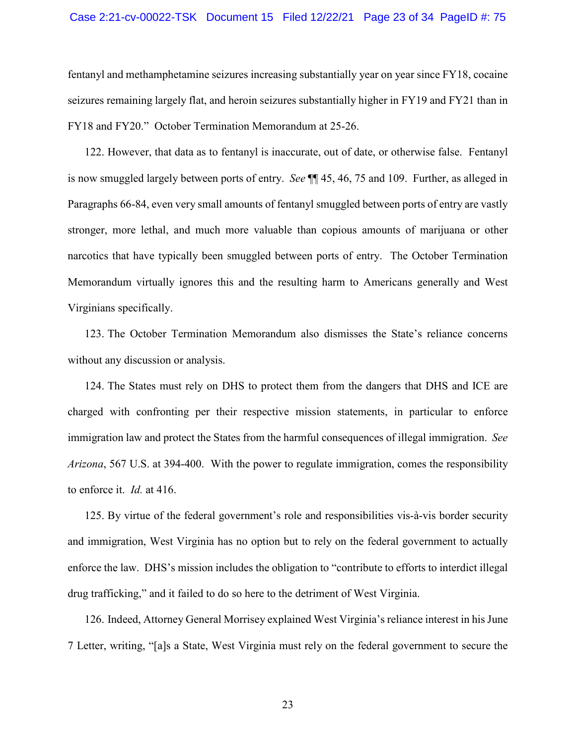### Case 2:21-cv-00022-TSK Document 15 Filed 12/22/21 Page 23 of 34 PageID #: 75

fentanyl and methamphetamine seizures increasing substantially year on year since FY18, cocaine seizures remaining largely flat, and heroin seizures substantially higher in FY19 and FY21 than in FY18 and FY20." October Termination Memorandum at 25-26.

122. However, that data as to fentanyl is inaccurate, out of date, or otherwise false. Fentanyl is now smuggled largely between ports of entry. *See* ¶¶ 45, 46, 75 and 109. Further, as alleged in Paragraphs 66-84, even very small amounts of fentanyl smuggled between ports of entry are vastly stronger, more lethal, and much more valuable than copious amounts of marijuana or other narcotics that have typically been smuggled between ports of entry. The October Termination Memorandum virtually ignores this and the resulting harm to Americans generally and West Virginians specifically.

123. The October Termination Memorandum also dismisses the State's reliance concerns without any discussion or analysis.

124. The States must rely on DHS to protect them from the dangers that DHS and ICE are charged with confronting per their respective mission statements, in particular to enforce immigration law and protect the States from the harmful consequences of illegal immigration. *See Arizona*, 567 U.S. at 394-400. With the power to regulate immigration, comes the responsibility to enforce it. *Id.* at 416.

125. By virtue of the federal government's role and responsibilities vis-à-vis border security and immigration, West Virginia has no option but to rely on the federal government to actually enforce the law. DHS's mission includes the obligation to "contribute to efforts to interdict illegal drug trafficking," and it failed to do so here to the detriment of West Virginia.

126. Indeed, Attorney General Morrisey explained West Virginia's reliance interest in his June 7 Letter, writing, "[a]s a State, West Virginia must rely on the federal government to secure the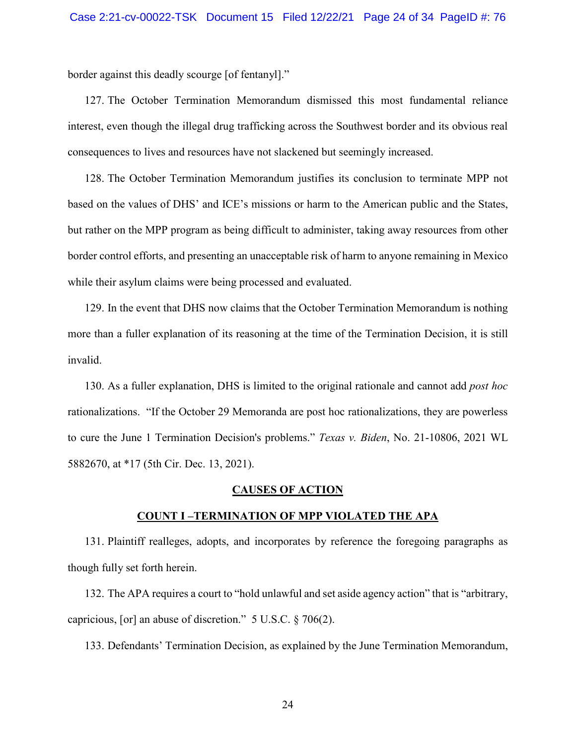border against this deadly scourge [of fentanyl]."

127. The October Termination Memorandum dismissed this most fundamental reliance interest, even though the illegal drug trafficking across the Southwest border and its obvious real consequences to lives and resources have not slackened but seemingly increased.

128. The October Termination Memorandum justifies its conclusion to terminate MPP not based on the values of DHS' and ICE's missions or harm to the American public and the States, but rather on the MPP program as being difficult to administer, taking away resources from other border control efforts, and presenting an unacceptable risk of harm to anyone remaining in Mexico while their asylum claims were being processed and evaluated.

129. In the event that DHS now claims that the October Termination Memorandum is nothing more than a fuller explanation of its reasoning at the time of the Termination Decision, it is still invalid.

130. As a fuller explanation, DHS is limited to the original rationale and cannot add *post hoc*  rationalizations. "If the October 29 Memoranda are post hoc rationalizations, they are powerless to cure the June 1 Termination Decision's problems." *Texas v. Biden*, No. 21-10806, 2021 WL 5882670, at \*17 (5th Cir. Dec. 13, 2021).

## **CAUSES OF ACTION**

### **COUNT I –TERMINATION OF MPP VIOLATED THE APA**

131. Plaintiff realleges, adopts, and incorporates by reference the foregoing paragraphs as though fully set forth herein.

132. The APA requires a court to "hold unlawful and set aside agency action" that is "arbitrary, capricious, [or] an abuse of discretion." 5 U.S.C. § 706(2).

133. Defendants' Termination Decision, as explained by the June Termination Memorandum,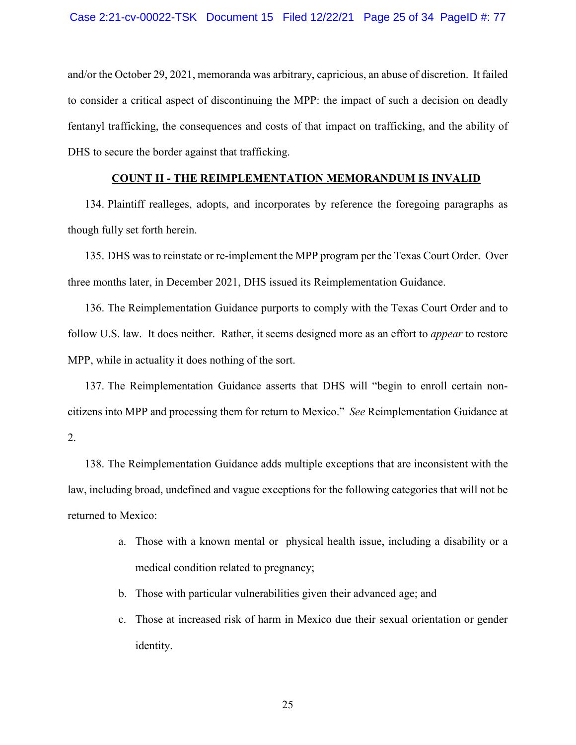and/or the October 29, 2021, memoranda was arbitrary, capricious, an abuse of discretion. It failed to consider a critical aspect of discontinuing the MPP: the impact of such a decision on deadly fentanyl trafficking, the consequences and costs of that impact on trafficking, and the ability of DHS to secure the border against that trafficking.

# **COUNT II - THE REIMPLEMENTATION MEMORANDUM IS INVALID**

134. Plaintiff realleges, adopts, and incorporates by reference the foregoing paragraphs as though fully set forth herein.

135. DHS was to reinstate or re-implement the MPP program per the Texas Court Order. Over three months later, in December 2021, DHS issued its Reimplementation Guidance.

136. The Reimplementation Guidance purports to comply with the Texas Court Order and to follow U.S. law. It does neither. Rather, it seems designed more as an effort to *appear* to restore MPP, while in actuality it does nothing of the sort.

137. The Reimplementation Guidance asserts that DHS will "begin to enroll certain noncitizens into MPP and processing them for return to Mexico." *See* Reimplementation Guidance at 2.

138. The Reimplementation Guidance adds multiple exceptions that are inconsistent with the law, including broad, undefined and vague exceptions for the following categories that will not be returned to Mexico:

- a. Those with a known mental or physical health issue, including a disability or a medical condition related to pregnancy;
- b. Those with particular vulnerabilities given their advanced age; and
- c. Those at increased risk of harm in Mexico due their sexual orientation or gender identity.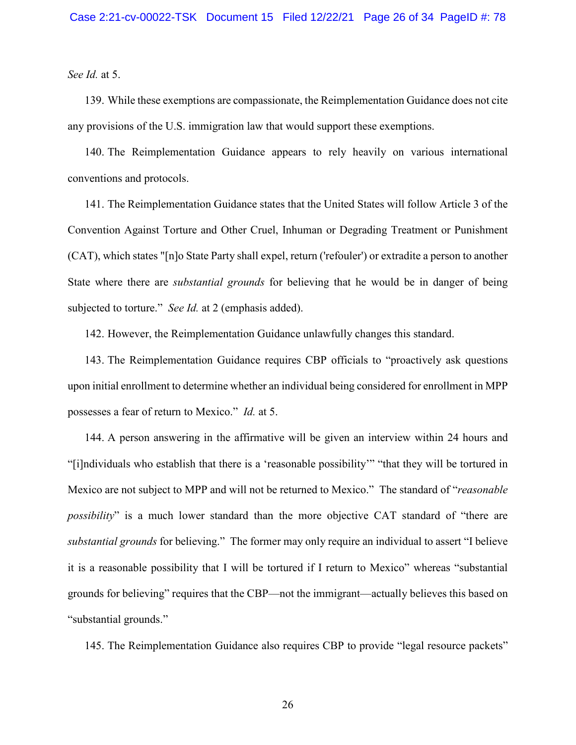*See Id.* at 5.

139. While these exemptions are compassionate, the Reimplementation Guidance does not cite any provisions of the U.S. immigration law that would support these exemptions.

140. The Reimplementation Guidance appears to rely heavily on various international conventions and protocols.

141. The Reimplementation Guidance states that the United States will follow Article 3 of the Convention Against Torture and Other Cruel, Inhuman or Degrading Treatment or Punishment (CAT), which states "[n]o State Party shall expel, return ('refouler') or extradite a person to another State where there are *substantial grounds* for believing that he would be in danger of being subjected to torture." *See Id.* at 2 (emphasis added).

142. However, the Reimplementation Guidance unlawfully changes this standard.

143. The Reimplementation Guidance requires CBP officials to "proactively ask questions upon initial enrollment to determine whether an individual being considered for enrollment in MPP possesses a fear of return to Mexico." *Id.* at 5.

144. A person answering in the affirmative will be given an interview within 24 hours and "[i]ndividuals who establish that there is a 'reasonable possibility'" "that they will be tortured in Mexico are not subject to MPP and will not be returned to Mexico." The standard of "*reasonable possibility*" is a much lower standard than the more objective CAT standard of "there are *substantial grounds* for believing." The former may only require an individual to assert "I believe it is a reasonable possibility that I will be tortured if I return to Mexico" whereas "substantial grounds for believing" requires that the CBP—not the immigrant—actually believes this based on "substantial grounds."

145. The Reimplementation Guidance also requires CBP to provide "legal resource packets"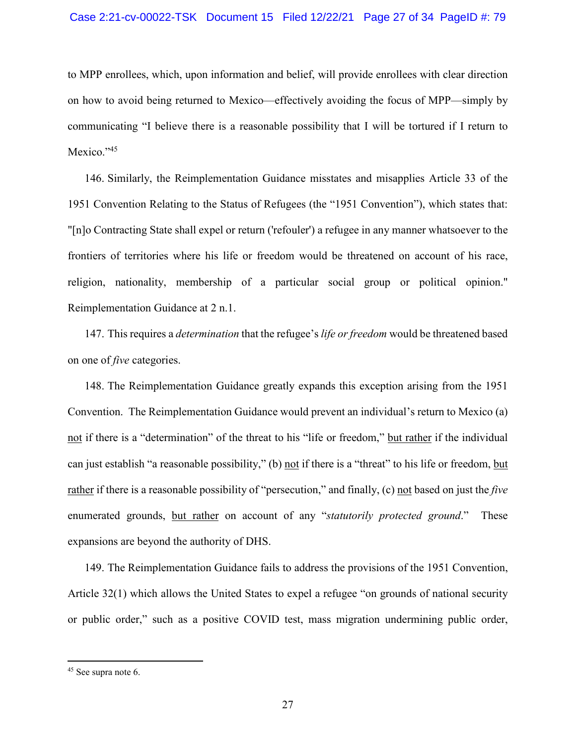to MPP enrollees, which, upon information and belief, will provide enrollees with clear direction on how to avoid being returned to Mexico—effectively avoiding the focus of MPP—simply by communicating "I believe there is a reasonable possibility that I will be tortured if I return to Mexico."<sup>45</sup>

146. Similarly, the Reimplementation Guidance misstates and misapplies Article 33 of the 1951 Convention Relating to the Status of Refugees (the "1951 Convention"), which states that: "[n]o Contracting State shall expel or return ('refouler') a refugee in any manner whatsoever to the frontiers of territories where his life or freedom would be threatened on account of his race, religion, nationality, membership of a particular social group or political opinion." Reimplementation Guidance at 2 n.1.

147. This requires a *determination* that the refugee's *life or freedom* would be threatened based on one of *five* categories.

148. The Reimplementation Guidance greatly expands this exception arising from the 1951 Convention. The Reimplementation Guidance would prevent an individual's return to Mexico (a) not if there is a "determination" of the threat to his "life or freedom," but rather if the individual can just establish "a reasonable possibility," (b) not if there is a "threat" to his life or freedom, but rather if there is a reasonable possibility of "persecution," and finally, (c) not based on just the *five* enumerated grounds, but rather on account of any "*statutorily protected ground*." These expansions are beyond the authority of DHS.

149. The Reimplementation Guidance fails to address the provisions of the 1951 Convention, Article 32(1) which allows the United States to expel a refugee "on grounds of national security or public order," such as a positive COVID test, mass migration undermining public order,

<sup>45</sup> See supra note 6.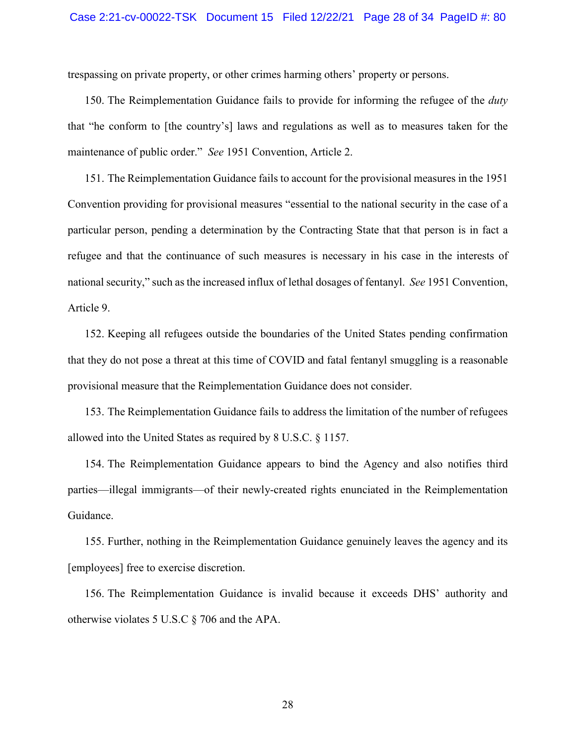trespassing on private property, or other crimes harming others' property or persons.

150. The Reimplementation Guidance fails to provide for informing the refugee of the *duty* that "he conform to [the country's] laws and regulations as well as to measures taken for the maintenance of public order." *See* 1951 Convention, Article 2.

151. The Reimplementation Guidance fails to account for the provisional measures in the 1951 Convention providing for provisional measures "essential to the national security in the case of a particular person, pending a determination by the Contracting State that that person is in fact a refugee and that the continuance of such measures is necessary in his case in the interests of national security," such as the increased influx of lethal dosages of fentanyl. *See* 1951 Convention, Article 9.

152. Keeping all refugees outside the boundaries of the United States pending confirmation that they do not pose a threat at this time of COVID and fatal fentanyl smuggling is a reasonable provisional measure that the Reimplementation Guidance does not consider.

153. The Reimplementation Guidance fails to address the limitation of the number of refugees allowed into the United States as required by 8 U.S.C. § 1157.

154. The Reimplementation Guidance appears to bind the Agency and also notifies third parties—illegal immigrants—of their newly-created rights enunciated in the Reimplementation Guidance.

155. Further, nothing in the Reimplementation Guidance genuinely leaves the agency and its [employees] free to exercise discretion.

156. The Reimplementation Guidance is invalid because it exceeds DHS' authority and otherwise violates 5 U.S.C § 706 and the APA.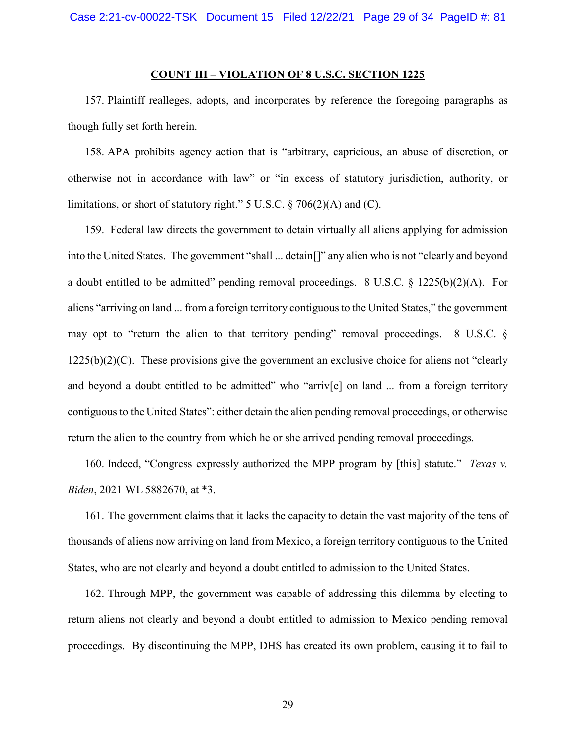# **COUNT III – VIOLATION OF 8 U.S.C. SECTION 1225**

157. Plaintiff realleges, adopts, and incorporates by reference the foregoing paragraphs as though fully set forth herein.

158. APA prohibits agency action that is "arbitrary, capricious, an abuse of discretion, or otherwise not in accordance with law" or "in excess of statutory jurisdiction, authority, or limitations, or short of statutory right." 5 U.S.C. § 706(2)(A) and (C).

159. Federal law directs the government to detain virtually all aliens applying for admission into the United States. The government "shall ... detain[]" any alien who is not "clearly and beyond a doubt entitled to be admitted" pending removal proceedings.  $8 \text{ U.S.C.} \& 1225(b)(2)(A)$ . For aliens "arriving on land ... from a foreign territory contiguous to the United States," the government may opt to "return the alien to that territory pending" removal proceedings. 8 U.S.C. §  $1225(b)(2)(C)$ . These provisions give the government an exclusive choice for aliens not "clearly" and beyond a doubt entitled to be admitted" who "arriv[e] on land ... from a foreign territory contiguous to the United States": either detain the alien pending removal proceedings, or otherwise return the alien to the country from which he or she arrived pending removal proceedings.

160. Indeed, "Congress expressly authorized the MPP program by [this] statute." *Texas v. Biden*, 2021 WL 5882670, at \*3.

161. The government claims that it lacks the capacity to detain the vast majority of the tens of thousands of aliens now arriving on land from Mexico, a foreign territory contiguous to the United States, who are not clearly and beyond a doubt entitled to admission to the United States.

162. Through MPP, the government was capable of addressing this dilemma by electing to return aliens not clearly and beyond a doubt entitled to admission to Mexico pending removal proceedings. By discontinuing the MPP, DHS has created its own problem, causing it to fail to

29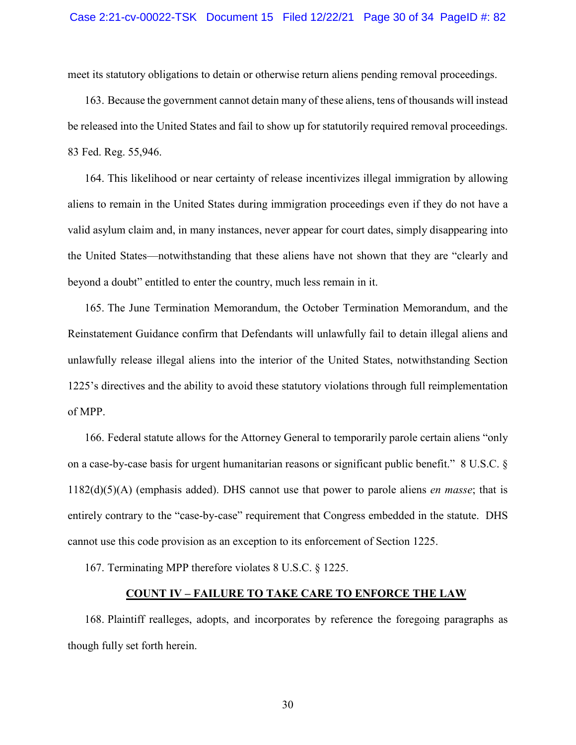meet its statutory obligations to detain or otherwise return aliens pending removal proceedings.

163. Because the government cannot detain many of these aliens, tens of thousands will instead be released into the United States and fail to show up for statutorily required removal proceedings. 83 Fed. Reg. 55,946.

164. This likelihood or near certainty of release incentivizes illegal immigration by allowing aliens to remain in the United States during immigration proceedings even if they do not have a valid asylum claim and, in many instances, never appear for court dates, simply disappearing into the United States—notwithstanding that these aliens have not shown that they are "clearly and beyond a doubt" entitled to enter the country, much less remain in it.

165. The June Termination Memorandum, the October Termination Memorandum, and the Reinstatement Guidance confirm that Defendants will unlawfully fail to detain illegal aliens and unlawfully release illegal aliens into the interior of the United States, notwithstanding Section 1225's directives and the ability to avoid these statutory violations through full reimplementation of MPP.

166. Federal statute allows for the Attorney General to temporarily parole certain aliens "only on a case-by-case basis for urgent humanitarian reasons or significant public benefit." 8 U.S.C. § 1182(d)(5)(A) (emphasis added). DHS cannot use that power to parole aliens *en masse*; that is entirely contrary to the "case-by-case" requirement that Congress embedded in the statute. DHS cannot use this code provision as an exception to its enforcement of Section 1225.

167. Terminating MPP therefore violates 8 U.S.C. § 1225.

## **COUNT IV – FAILURE TO TAKE CARE TO ENFORCE THE LAW**

168. Plaintiff realleges, adopts, and incorporates by reference the foregoing paragraphs as though fully set forth herein.

30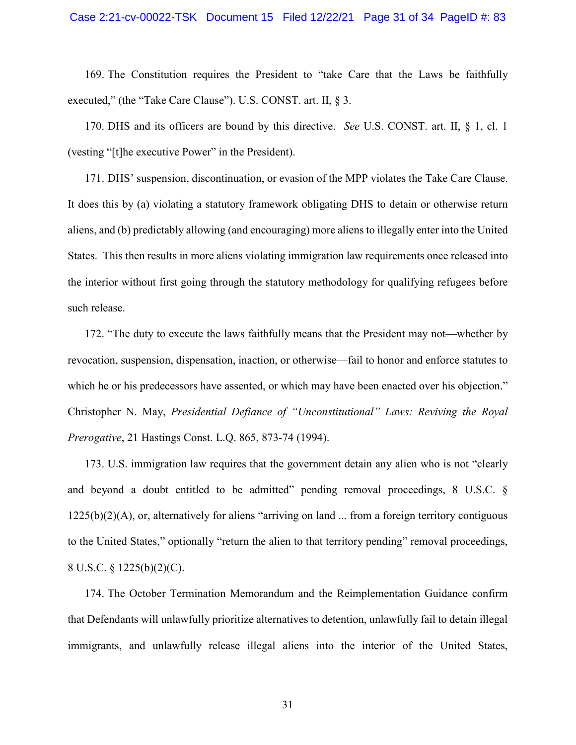169. The Constitution requires the President to "take Care that the Laws be faithfully executed," (the "Take Care Clause"). U.S. CONST. art. II, § 3.

170. DHS and its officers are bound by this directive. *See* U.S. CONST. art. II, § 1, cl. 1 (vesting "[t]he executive Power" in the President).

171. DHS' suspension, discontinuation, or evasion of the MPP violates the Take Care Clause. It does this by (a) violating a statutory framework obligating DHS to detain or otherwise return aliens, and (b) predictably allowing (and encouraging) more aliens to illegally enter into the United States. This then results in more aliens violating immigration law requirements once released into the interior without first going through the statutory methodology for qualifying refugees before such release.

172. "The duty to execute the laws faithfully means that the President may not—whether by revocation, suspension, dispensation, inaction, or otherwise—fail to honor and enforce statutes to which he or his predecessors have assented, or which may have been enacted over his objection." Christopher N. May, *Presidential Defiance of "Unconstitutional" Laws: Reviving the Royal Prerogative*, 21 Hastings Const. L.Q. 865, 873-74 (1994).

173. U.S. immigration law requires that the government detain any alien who is not "clearly and beyond a doubt entitled to be admitted" pending removal proceedings, 8 U.S.C. § 1225(b)(2)(A), or, alternatively for aliens "arriving on land ... from a foreign territory contiguous to the United States," optionally "return the alien to that territory pending" removal proceedings, 8 U.S.C. § 1225(b)(2)(C).

174. The October Termination Memorandum and the Reimplementation Guidance confirm that Defendants will unlawfully prioritize alternatives to detention, unlawfully fail to detain illegal immigrants, and unlawfully release illegal aliens into the interior of the United States,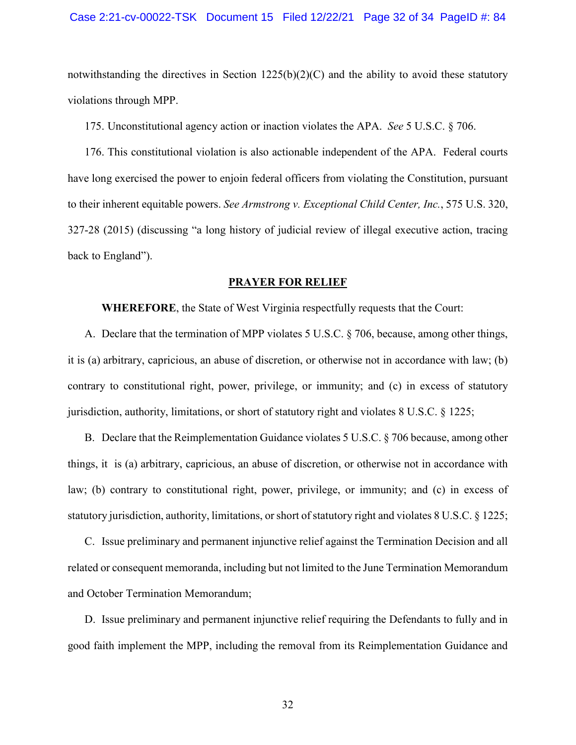notwithstanding the directives in Section  $1225(b)(2)(C)$  and the ability to avoid these statutory violations through MPP.

175. Unconstitutional agency action or inaction violates the APA. *See* 5 U.S.C. § 706.

176. This constitutional violation is also actionable independent of the APA. Federal courts have long exercised the power to enjoin federal officers from violating the Constitution, pursuant to their inherent equitable powers. *See Armstrong v. Exceptional Child Center, Inc.*, 575 U.S. 320, 327-28 (2015) (discussing "a long history of judicial review of illegal executive action, tracing back to England").

#### **PRAYER FOR RELIEF**

**WHEREFORE**, the State of West Virginia respectfully requests that the Court:

A. Declare that the termination of MPP violates 5 U.S.C. § 706, because, among other things, it is (a) arbitrary, capricious, an abuse of discretion, or otherwise not in accordance with law; (b) contrary to constitutional right, power, privilege, or immunity; and (c) in excess of statutory jurisdiction, authority, limitations, or short of statutory right and violates 8 U.S.C. § 1225;

B. Declare that the Reimplementation Guidance violates 5 U.S.C. § 706 because, among other things, it is (a) arbitrary, capricious, an abuse of discretion, or otherwise not in accordance with law; (b) contrary to constitutional right, power, privilege, or immunity; and (c) in excess of statutory jurisdiction, authority, limitations, or short of statutory right and violates 8 U.S.C. § 1225;

C. Issue preliminary and permanent injunctive relief against the Termination Decision and all related or consequent memoranda, including but not limited to the June Termination Memorandum and October Termination Memorandum;

D. Issue preliminary and permanent injunctive relief requiring the Defendants to fully and in good faith implement the MPP, including the removal from its Reimplementation Guidance and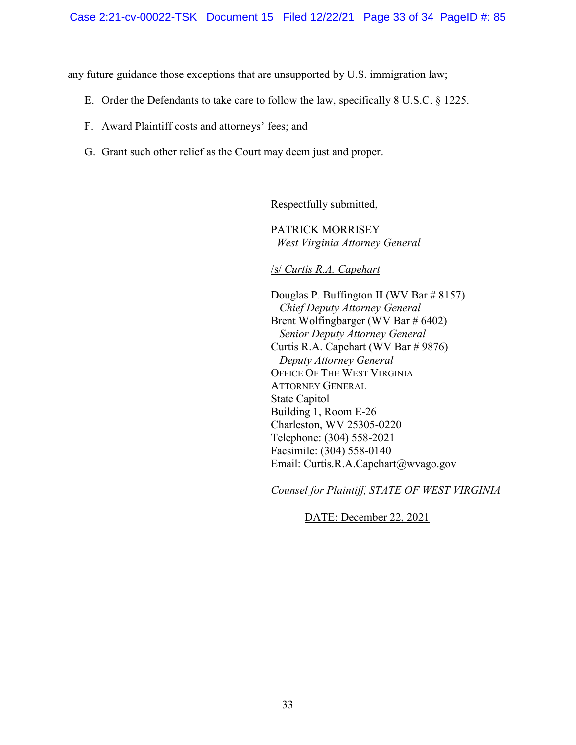any future guidance those exceptions that are unsupported by U.S. immigration law;

- E. Order the Defendants to take care to follow the law, specifically 8 U.S.C. § 1225.
- F. Award Plaintiff costs and attorneys' fees; and
- G. Grant such other relief as the Court may deem just and proper.

Respectfully submitted,

PATRICK MORRISEY  *West Virginia Attorney General* 

/s/ *Curtis R.A. Capehart*

Douglas P. Buffington II (WV Bar # 8157) *Chief Deputy Attorney General*  Brent Wolfingbarger (WV Bar # 6402) *Senior Deputy Attorney General*  Curtis R.A. Capehart (WV Bar # 9876)  *Deputy Attorney General*  OFFICE OF THE WEST VIRGINIA ATTORNEY GENERAL State Capitol Building 1, Room E-26 Charleston, WV 25305-0220 Telephone: (304) 558-2021 Facsimile: (304) 558-0140 Email: Curtis.R.A.Capehart@wvago.gov

*Counsel for Plaintiff, STATE OF WEST VIRGINIA* 

DATE: December 22, 2021